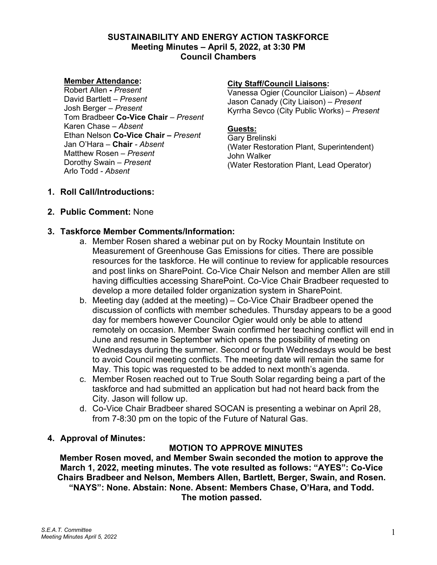### **SUSTAINABILITY AND ENERGY ACTION TASKFORCE Meeting Minutes – April 5, 2022, at 3:30 PM Council Chambers**

#### **Member Attendance:**

Robert Allen **-** *Present* David Bartlett *– Present* Josh Berger *– Present* Tom Bradbeer **Co-Vice Chair** *– Present* Karen Chase *– Absent* Ethan Nelson **Co-Vice Chair** *– Present* Jan O'Hara *–* **Chair** *- Absent* Matthew Rosen *– Present* Dorothy Swain *– Present* Arlo Todd *- Absent*

#### **City Staff/Council Liaisons:**

Vanessa Ogier (Councilor Liaison) – *Absent* Jason Canady (City Liaison) – *Present* Kyrrha Sevco (City Public Works) – *Present*

#### **Guests:**

Gary Brelinski (Water Restoration Plant, Superintendent) John Walker (Water Restoration Plant, Lead Operator)

- **1. Roll Call/Introductions:**
- **2. Public Comment:** None

## **3. Taskforce Member Comments/Information:**

- a. Member Rosen shared a webinar put on by Rocky Mountain Institute on Measurement of Greenhouse Gas Emissions for cities. There are possible resources for the taskforce. He will continue to review for applicable resources and post links on SharePoint. Co-Vice Chair Nelson and member Allen are still having difficulties accessing SharePoint. Co-Vice Chair Bradbeer requested to develop a more detailed folder organization system in SharePoint.
- b. Meeting day (added at the meeting) Co-Vice Chair Bradbeer opened the discussion of conflicts with member schedules. Thursday appears to be a good day for members however Councilor Ogier would only be able to attend remotely on occasion. Member Swain confirmed her teaching conflict will end in June and resume in September which opens the possibility of meeting on Wednesdays during the summer. Second or fourth Wednesdays would be best to avoid Council meeting conflicts. The meeting date will remain the same for May. This topic was requested to be added to next month's agenda.
- c. Member Rosen reached out to True South Solar regarding being a part of the taskforce and had submitted an application but had not heard back from the City. Jason will follow up.
- d. Co-Vice Chair Bradbeer shared SOCAN is presenting a webinar on April 28, from 7-8:30 pm on the topic of the Future of Natural Gas.

#### **4. Approval of Minutes:**

## **MOTION TO APPROVE MINUTES**

**Member Rosen moved, and Member Swain seconded the motion to approve the March 1, 2022, meeting minutes. The vote resulted as follows: "AYES": Co-Vice Chairs Bradbeer and Nelson, Members Allen, Bartlett, Berger, Swain, and Rosen. "NAYS": None. Abstain: None. Absent: Members Chase, O'Hara, and Todd. The motion passed.**